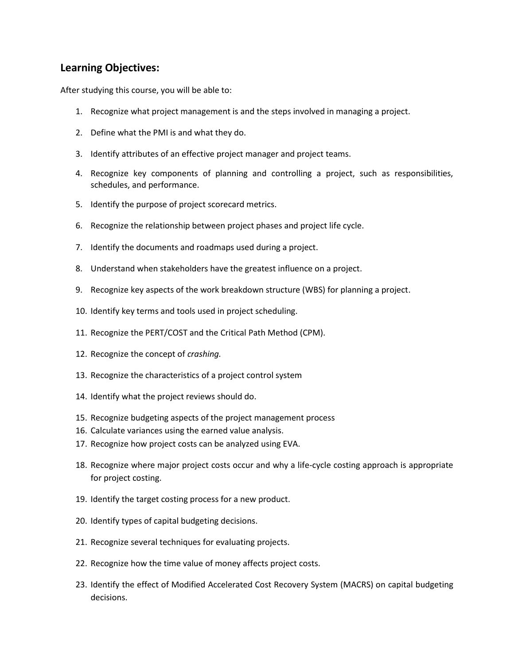## **Learning Objectives:**

After studying this course, you will be able to:

- 1. Recognize what project management is and the steps involved in managing a project.
- 2. Define what the PMI is and what they do.
- 3. Identify attributes of an effective project manager and project teams.
- 4. Recognize key components of planning and controlling a project, such as responsibilities, schedules, and performance.
- 5. Identify the purpose of project scorecard metrics.
- 6. Recognize the relationship between project phases and project life cycle.
- 7. Identify the documents and roadmaps used during a project.
- 8. Understand when stakeholders have the greatest influence on a project.
- 9. Recognize key aspects of the work breakdown structure (WBS) for planning a project.
- 10. Identify key terms and tools used in project scheduling.
- 11. Recognize the PERT/COST and the Critical Path Method (CPM).
- 12. Recognize the concept of *crashing.*
- 13. Recognize the characteristics of a project control system
- 14. Identify what the project reviews should do.
- 15. Recognize budgeting aspects of the project management process
- 16. Calculate variances using the earned value analysis.
- 17. Recognize how project costs can be analyzed using EVA.
- 18. Recognize where major project costs occur and why a life-cycle costing approach is appropriate for project costing.
- 19. Identify the target costing process for a new product.
- 20. Identify types of capital budgeting decisions.
- 21. Recognize several techniques for evaluating projects.
- 22. Recognize how the time value of money affects project costs.
- 23. Identify the effect of Modified Accelerated Cost Recovery System (MACRS) on capital budgeting decisions.